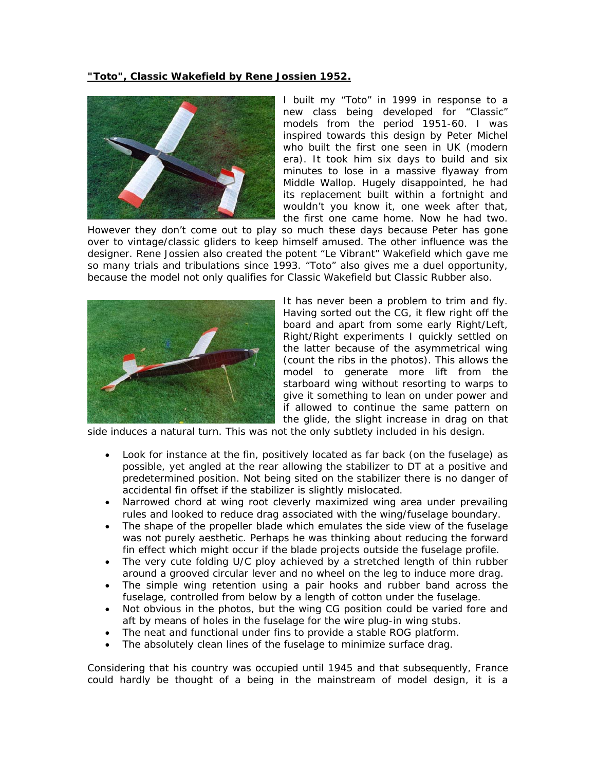## **"Toto", Classic Wakefield by Rene Jossien 1952.**



I built my "Toto" in 1999 in response to a new class being developed for "Classic" models from the period 1951-60. I was inspired towards this design by Peter Michel who built the first one seen in UK (modern era). It took him six days to build and six minutes to lose in a massive flyaway from Middle Wallop. Hugely disappointed, he had its replacement built within a fortnight and wouldn't you know it, one week after that, the first one came home. Now he had two.

However they don't come out to play so much these days because Peter has gone over to vintage/classic gliders to keep himself amused. The other influence was the designer. Rene Jossien also created the potent "Le Vibrant" Wakefield which gave me so many trials and tribulations since 1993. "Toto" also gives me a duel opportunity, because the model not only qualifies for Classic Wakefield but Classic Rubber also.



It has never been a problem to trim and fly. Having sorted out the CG, it flew right off the board and apart from some early Right/Left, Right/Right experiments I quickly settled on the latter because of the asymmetrical wing (count the ribs in the photos). This allows the model to generate more lift from the starboard wing without resorting to warps to give it something to lean on under power and if allowed to continue the same pattern on the glide, the slight increase in drag on that

side induces a natural turn. This was not the only subtlety included in his design.

- Look for instance at the fin, positively located as far back (on the fuselage) as possible, yet angled at the rear allowing the stabilizer to DT at a positive and predetermined position. Not being sited on the stabilizer there is no danger of accidental fin offset if the stabilizer is slightly mislocated.
- Narrowed chord at wing root cleverly maximized wing area under prevailing rules and looked to reduce drag associated with the wing/fuselage boundary.
- The shape of the propeller blade which emulates the side view of the fuselage was not purely aesthetic. Perhaps he was thinking about reducing the forward fin effect which might occur if the blade projects outside the fuselage profile.
- The very cute folding U/C ploy achieved by a stretched length of thin rubber around a grooved circular lever and no wheel on the leg to induce more drag.
- The simple wing retention using a pair hooks and rubber band across the fuselage, controlled from below by a length of cotton under the fuselage.
- Not obvious in the photos, but the wing CG position could be varied fore and aft by means of holes in the fuselage for the wire plug-in wing stubs.
- The neat and functional under fins to provide a stable ROG platform.
- The absolutely clean lines of the fuselage to minimize surface drag.

Considering that his country was occupied until 1945 and that subsequently, France could hardly be thought of a being in the mainstream of model design, it is a